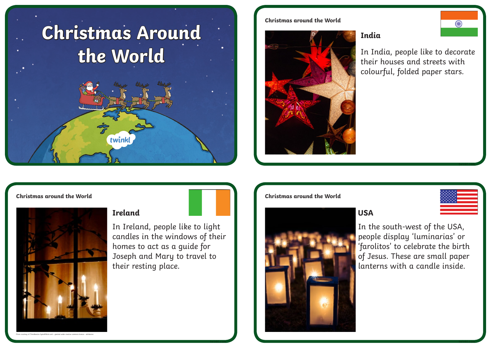# **Christmas Around the World** twinkl

# **Christmas around the World**



# **India**

In India, people like to decorate their houses and streets with colourful, folded paper stars.



Photo courtesy of (TimoNewton-Syms@flickr.com) - granted under creative commons licence - attribution

In Ireland, people like to light candles in the windows of their homes to act as a guide for Joseph and Mary to travel to their resting place.





**twinkl.com twinkl.com**

In the south-west of the USA, people display 'luminarias' or 'farolitos' to celebrate the birth of Jesus. These are small paper lanterns with a candle inside.

**twinkl.com**

**Contract Contract Contract**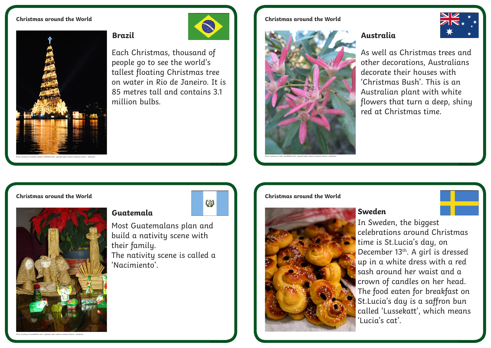## **Christmas around the World**



million bulbs.

Each Christmas, thousand of people go to see the world's tallest floating Christmas tree on water in Rio de Janeiro. It is 85 metres tall and contains 3.1

# **Christmas around the World**





As well as Christmas trees and other decorations, Australians decorate their houses with 'Christmas Bush'. This is an Australian plant with white flowers that turn a deep, shiny red at Christmas time.

# **Christmas around the World**



Photo courtesy of (ivanx@flickr.com) - granted under creative commons licence - attribution



**twinkl.com**

**twinkl.com**

CO





In Sweden, the biggest celebrations around Christmas time is St.Lucia's day, on December 13<sup>th</sup>. A girl is dressed up in a white dress with a red sash around her waist and a crown of candles on her head. The food eaten for breakfast on St.Lucia's day is a saffron bun called 'Lussekatt', which means 'Lucia's cat'.

**twinkl.com**

**twinkl.com**